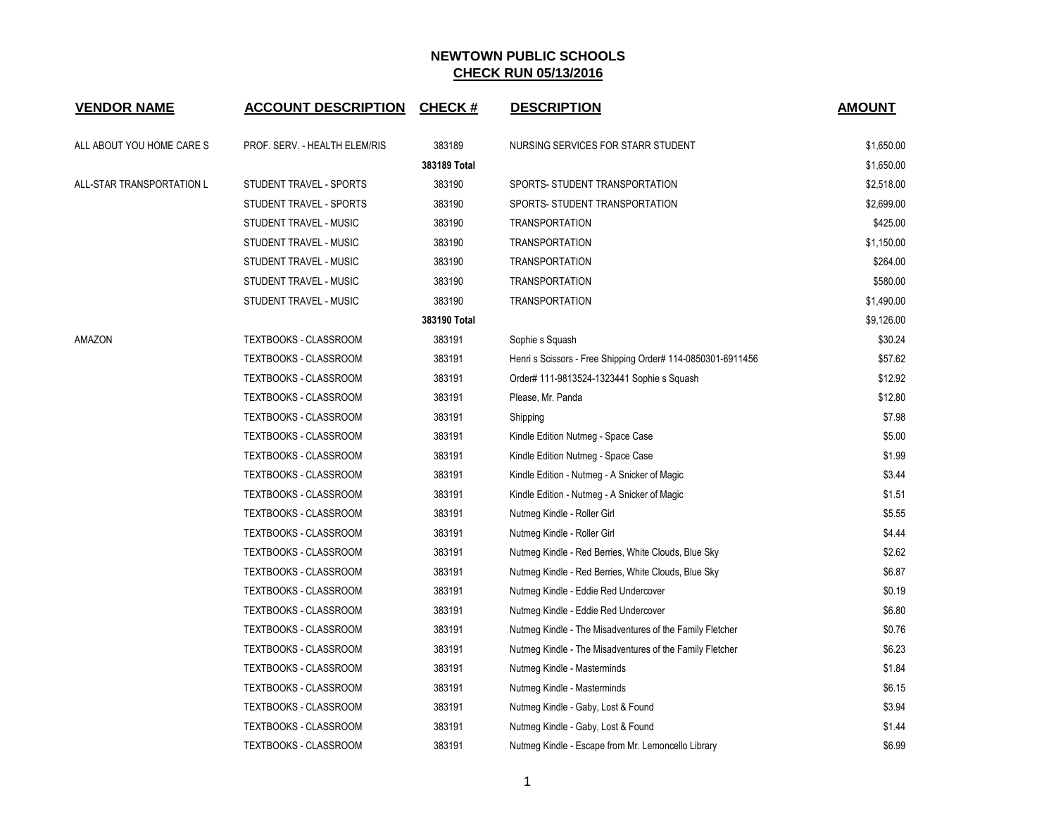| <b>VENDOR NAME</b>        | <b>ACCOUNT DESCRIPTION</b>    | <b>CHECK#</b> | <b>DESCRIPTION</b>                                          | <b>AMOUNT</b> |
|---------------------------|-------------------------------|---------------|-------------------------------------------------------------|---------------|
| ALL ABOUT YOU HOME CARE S | PROF. SERV. - HEALTH ELEM/RIS | 383189        | NURSING SERVICES FOR STARR STUDENT                          | \$1,650.00    |
|                           |                               | 383189 Total  |                                                             | \$1,650.00    |
| ALL-STAR TRANSPORTATION L | STUDENT TRAVEL - SPORTS       | 383190        | SPORTS- STUDENT TRANSPORTATION                              | \$2,518.00    |
|                           | STUDENT TRAVEL - SPORTS       | 383190        | SPORTS- STUDENT TRANSPORTATION                              | \$2,699.00    |
|                           | STUDENT TRAVEL - MUSIC        | 383190        | <b>TRANSPORTATION</b>                                       | \$425.00      |
|                           | STUDENT TRAVEL - MUSIC        | 383190        | <b>TRANSPORTATION</b>                                       | \$1,150.00    |
|                           | STUDENT TRAVEL - MUSIC        | 383190        | <b>TRANSPORTATION</b>                                       | \$264.00      |
|                           | STUDENT TRAVEL - MUSIC        | 383190        | <b>TRANSPORTATION</b>                                       | \$580.00      |
|                           | STUDENT TRAVEL - MUSIC        | 383190        | <b>TRANSPORTATION</b>                                       | \$1,490.00    |
|                           |                               | 383190 Total  |                                                             | \$9,126.00    |
| AMAZON                    | <b>TEXTBOOKS - CLASSROOM</b>  | 383191        | Sophie s Squash                                             | \$30.24       |
|                           | <b>TEXTBOOKS - CLASSROOM</b>  | 383191        | Henri s Scissors - Free Shipping Order# 114-0850301-6911456 | \$57.62       |
|                           | TEXTBOOKS - CLASSROOM         | 383191        | Order# 111-9813524-1323441 Sophie s Squash                  | \$12.92       |
|                           | TEXTBOOKS - CLASSROOM         | 383191        | Please, Mr. Panda                                           | \$12.80       |
|                           | <b>TEXTBOOKS - CLASSROOM</b>  | 383191        | Shipping                                                    | \$7.98        |
|                           | <b>TEXTBOOKS - CLASSROOM</b>  | 383191        | Kindle Edition Nutmeg - Space Case                          | \$5.00        |
|                           | TEXTBOOKS - CLASSROOM         | 383191        | Kindle Edition Nutmeg - Space Case                          | \$1.99        |
|                           | <b>TEXTBOOKS - CLASSROOM</b>  | 383191        | Kindle Edition - Nutmeg - A Snicker of Magic                | \$3.44        |
|                           | TEXTBOOKS - CLASSROOM         | 383191        | Kindle Edition - Nutmeg - A Snicker of Magic                | \$1.51        |
|                           | <b>TEXTBOOKS - CLASSROOM</b>  | 383191        | Nutmeg Kindle - Roller Girl                                 | \$5.55        |
|                           | TEXTBOOKS - CLASSROOM         | 383191        | Nutmeg Kindle - Roller Girl                                 | \$4.44        |
|                           | TEXTBOOKS - CLASSROOM         | 383191        | Nutmeg Kindle - Red Berries, White Clouds, Blue Sky         | \$2.62        |
|                           | TEXTBOOKS - CLASSROOM         | 383191        | Nutmeg Kindle - Red Berries, White Clouds, Blue Sky         | \$6.87        |
|                           | <b>TEXTBOOKS - CLASSROOM</b>  | 383191        | Nutmeg Kindle - Eddie Red Undercover                        | \$0.19        |
|                           | <b>TEXTBOOKS - CLASSROOM</b>  | 383191        | Nutmeg Kindle - Eddie Red Undercover                        | \$6.80        |
|                           | TEXTBOOKS - CLASSROOM         | 383191        | Nutmeg Kindle - The Misadventures of the Family Fletcher    | \$0.76        |
|                           | TEXTBOOKS - CLASSROOM         | 383191        | Nutmeg Kindle - The Misadventures of the Family Fletcher    | \$6.23        |
|                           | <b>TEXTBOOKS - CLASSROOM</b>  | 383191        | Nutmeg Kindle - Masterminds                                 | \$1.84        |
|                           | <b>TEXTBOOKS - CLASSROOM</b>  | 383191        | Nutmeg Kindle - Masterminds                                 | \$6.15        |
|                           | TEXTBOOKS - CLASSROOM         | 383191        | Nutmeg Kindle - Gaby, Lost & Found                          | \$3.94        |
|                           | TEXTBOOKS - CLASSROOM         | 383191        | Nutmeg Kindle - Gaby, Lost & Found                          | \$1.44        |
|                           | <b>TEXTBOOKS - CLASSROOM</b>  | 383191        | Nutmeg Kindle - Escape from Mr. Lemoncello Library          | \$6.99        |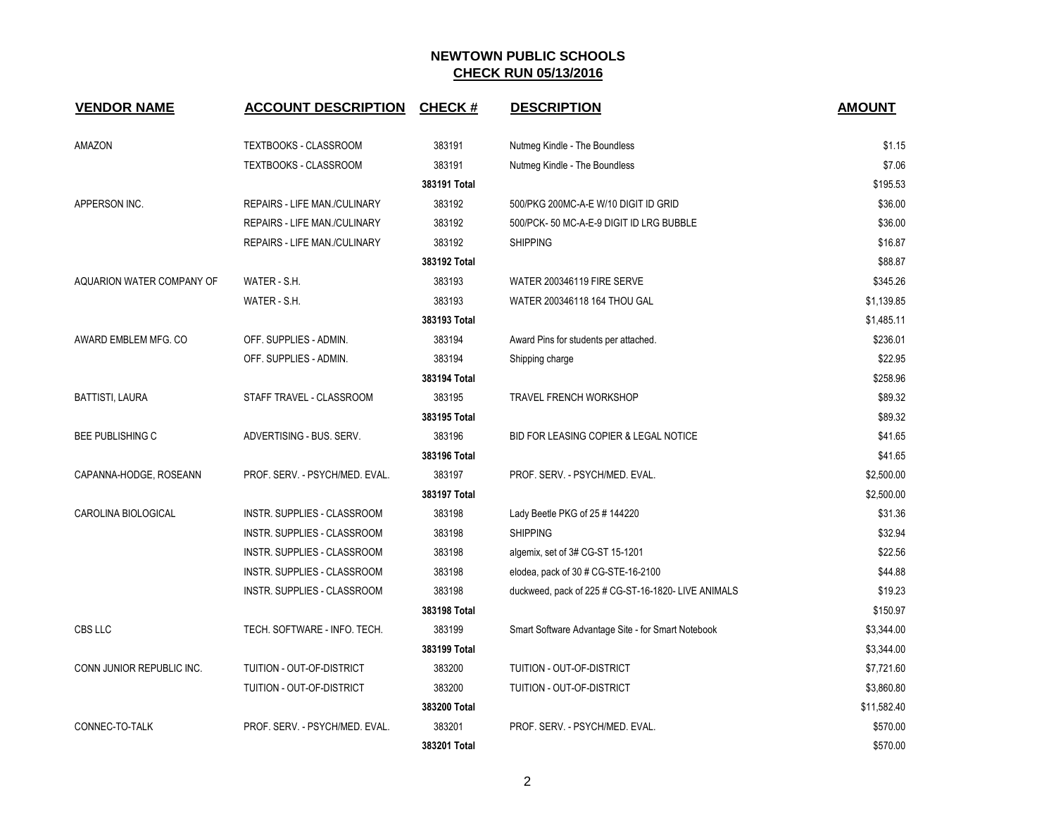| <b>VENDOR NAME</b>        | <b>ACCOUNT DESCRIPTION</b>     | <b>CHECK#</b> | <b>DESCRIPTION</b>                                  | <b>AMOUNT</b> |
|---------------------------|--------------------------------|---------------|-----------------------------------------------------|---------------|
| AMAZON                    | TEXTBOOKS - CLASSROOM          | 383191        | Nutmeg Kindle - The Boundless                       | \$1.15        |
|                           | <b>TEXTBOOKS - CLASSROOM</b>   | 383191        | Nutmeg Kindle - The Boundless                       | \$7.06        |
|                           |                                | 383191 Total  |                                                     | \$195.53      |
| APPERSON INC.             | REPAIRS - LIFE MAN./CULINARY   | 383192        | 500/PKG 200MC-A-E W/10 DIGIT ID GRID                | \$36.00       |
|                           | REPAIRS - LIFE MAN./CULINARY   | 383192        | 500/PCK-50 MC-A-E-9 DIGIT ID LRG BUBBLE             | \$36.00       |
|                           | REPAIRS - LIFE MAN./CULINARY   | 383192        | <b>SHIPPING</b>                                     | \$16.87       |
|                           |                                | 383192 Total  |                                                     | \$88.87       |
| AQUARION WATER COMPANY OF | WATER - S.H.                   | 383193        | <b>WATER 200346119 FIRE SERVE</b>                   | \$345.26      |
|                           | WATER - S.H.                   | 383193        | WATER 200346118 164 THOU GAL                        | \$1,139.85    |
|                           |                                | 383193 Total  |                                                     | \$1,485.11    |
| AWARD EMBLEM MFG. CO      | OFF. SUPPLIES - ADMIN.         | 383194        | Award Pins for students per attached.               | \$236.01      |
|                           | OFF. SUPPLIES - ADMIN.         | 383194        | Shipping charge                                     | \$22.95       |
|                           |                                | 383194 Total  |                                                     | \$258.96      |
| <b>BATTISTI, LAURA</b>    | STAFF TRAVEL - CLASSROOM       | 383195        | <b>TRAVEL FRENCH WORKSHOP</b>                       | \$89.32       |
|                           |                                | 383195 Total  |                                                     | \$89.32       |
| <b>BEE PUBLISHING C</b>   | ADVERTISING - BUS. SERV.       | 383196        | BID FOR LEASING COPIER & LEGAL NOTICE               | \$41.65       |
|                           |                                | 383196 Total  |                                                     | \$41.65       |
| CAPANNA-HODGE, ROSEANN    | PROF. SERV. - PSYCH/MED. EVAL. | 383197        | PROF. SERV. - PSYCH/MED. EVAL.                      | \$2,500.00    |
|                           |                                | 383197 Total  |                                                     | \$2,500.00    |
| CAROLINA BIOLOGICAL       | INSTR. SUPPLIES - CLASSROOM    | 383198        | Lady Beetle PKG of 25 # 144220                      | \$31.36       |
|                           | INSTR. SUPPLIES - CLASSROOM    | 383198        | <b>SHIPPING</b>                                     | \$32.94       |
|                           | INSTR. SUPPLIES - CLASSROOM    | 383198        | algemix, set of 3# CG-ST 15-1201                    | \$22.56       |
|                           | INSTR. SUPPLIES - CLASSROOM    | 383198        | elodea, pack of 30 # CG-STE-16-2100                 | \$44.88       |
|                           | INSTR. SUPPLIES - CLASSROOM    | 383198        | duckweed, pack of 225 # CG-ST-16-1820- LIVE ANIMALS | \$19.23       |
|                           |                                | 383198 Total  |                                                     | \$150.97      |
| CBS LLC                   | TECH. SOFTWARE - INFO. TECH.   | 383199        | Smart Software Advantage Site - for Smart Notebook  | \$3,344.00    |
|                           |                                | 383199 Total  |                                                     | \$3,344.00    |
| CONN JUNIOR REPUBLIC INC. | TUITION - OUT-OF-DISTRICT      | 383200        | TUITION - OUT-OF-DISTRICT                           | \$7,721.60    |
|                           | TUITION - OUT-OF-DISTRICT      | 383200        | TUITION - OUT-OF-DISTRICT                           | \$3,860.80    |
|                           |                                | 383200 Total  |                                                     | \$11,582.40   |
| CONNEC-TO-TALK            | PROF. SERV. - PSYCH/MED. EVAL. | 383201        | PROF. SERV. - PSYCH/MED. EVAL.                      | \$570.00      |
|                           |                                | 383201 Total  |                                                     | \$570.00      |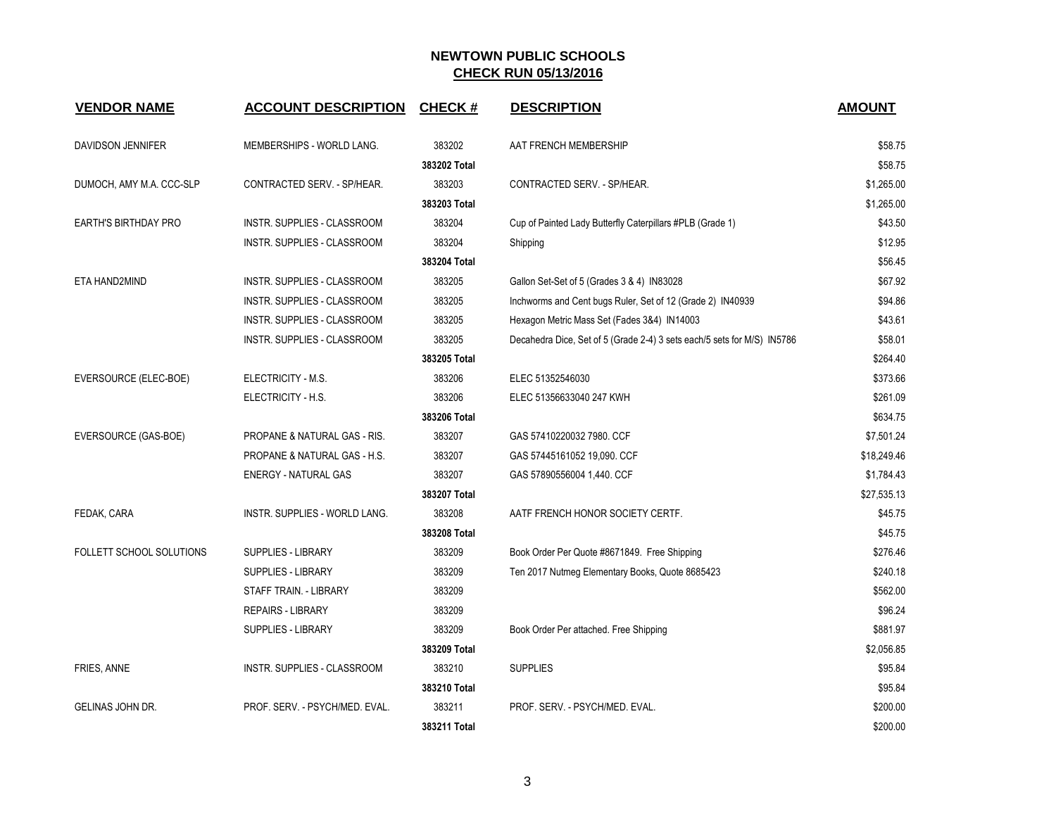| <b>VENDOR NAME</b>          | <b>ACCOUNT DESCRIPTION</b>         | <b>CHECK#</b> | <b>DESCRIPTION</b>                                                      | <b>AMOUNT</b> |
|-----------------------------|------------------------------------|---------------|-------------------------------------------------------------------------|---------------|
| DAVIDSON JENNIFER           | MEMBERSHIPS - WORLD LANG.          | 383202        | AAT FRENCH MEMBERSHIP                                                   | \$58.75       |
|                             |                                    | 383202 Total  |                                                                         | \$58.75       |
| DUMOCH, AMY M.A. CCC-SLP    | CONTRACTED SERV. - SP/HEAR.        | 383203        | CONTRACTED SERV. - SP/HEAR.                                             | \$1,265.00    |
|                             |                                    | 383203 Total  |                                                                         | \$1,265.00    |
| <b>EARTH'S BIRTHDAY PRO</b> | <b>INSTR. SUPPLIES - CLASSROOM</b> | 383204        | Cup of Painted Lady Butterfly Caterpillars #PLB (Grade 1)               | \$43.50       |
|                             | INSTR. SUPPLIES - CLASSROOM        | 383204        | Shipping                                                                | \$12.95       |
|                             |                                    | 383204 Total  |                                                                         | \$56.45       |
| ETA HAND2MIND               | INSTR. SUPPLIES - CLASSROOM        | 383205        | Gallon Set-Set of 5 (Grades 3 & 4) IN83028                              | \$67.92       |
|                             | INSTR. SUPPLIES - CLASSROOM        | 383205        | Inchworms and Cent bugs Ruler, Set of 12 (Grade 2) IN40939              | \$94.86       |
|                             | INSTR. SUPPLIES - CLASSROOM        | 383205        | Hexagon Metric Mass Set (Fades 3&4) IN14003                             | \$43.61       |
|                             | INSTR. SUPPLIES - CLASSROOM        | 383205        | Decahedra Dice, Set of 5 (Grade 2-4) 3 sets each/5 sets for M/S) IN5786 | \$58.01       |
|                             |                                    | 383205 Total  |                                                                         | \$264.40      |
| EVERSOURCE (ELEC-BOE)       | ELECTRICITY - M.S.                 | 383206        | ELEC 51352546030                                                        | \$373.66      |
|                             | ELECTRICITY - H.S.                 | 383206        | ELEC 51356633040 247 KWH                                                | \$261.09      |
|                             |                                    | 383206 Total  |                                                                         | \$634.75      |
| EVERSOURCE (GAS-BOE)        | PROPANE & NATURAL GAS - RIS.       | 383207        | GAS 57410220032 7980. CCF                                               | \$7,501.24    |
|                             | PROPANE & NATURAL GAS - H.S.       | 383207        | GAS 57445161052 19,090. CCF                                             | \$18,249.46   |
|                             | ENERGY - NATURAL GAS               | 383207        | GAS 57890556004 1,440. CCF                                              | \$1,784.43    |
|                             |                                    | 383207 Total  |                                                                         | \$27,535.13   |
| FEDAK, CARA                 | INSTR. SUPPLIES - WORLD LANG.      | 383208        | AATF FRENCH HONOR SOCIETY CERTF.                                        | \$45.75       |
|                             |                                    | 383208 Total  |                                                                         | \$45.75       |
| FOLLETT SCHOOL SOLUTIONS    | <b>SUPPLIES - LIBRARY</b>          | 383209        | Book Order Per Quote #8671849. Free Shipping                            | \$276.46      |
|                             | <b>SUPPLIES - LIBRARY</b>          | 383209        | Ten 2017 Nutmeg Elementary Books, Quote 8685423                         | \$240.18      |
|                             | STAFF TRAIN. - LIBRARY             | 383209        |                                                                         | \$562.00      |
|                             | <b>REPAIRS - LIBRARY</b>           | 383209        |                                                                         | \$96.24       |
|                             | <b>SUPPLIES - LIBRARY</b>          | 383209        | Book Order Per attached. Free Shipping                                  | \$881.97      |
|                             |                                    | 383209 Total  |                                                                         | \$2,056.85    |
| FRIES, ANNE                 | INSTR. SUPPLIES - CLASSROOM        | 383210        | <b>SUPPLIES</b>                                                         | \$95.84       |
|                             |                                    | 383210 Total  |                                                                         | \$95.84       |
| GELINAS JOHN DR.            | PROF. SERV. - PSYCH/MED. EVAL.     | 383211        | PROF. SERV. - PSYCH/MED. EVAL.                                          | \$200.00      |
|                             |                                    | 383211 Total  |                                                                         | \$200.00      |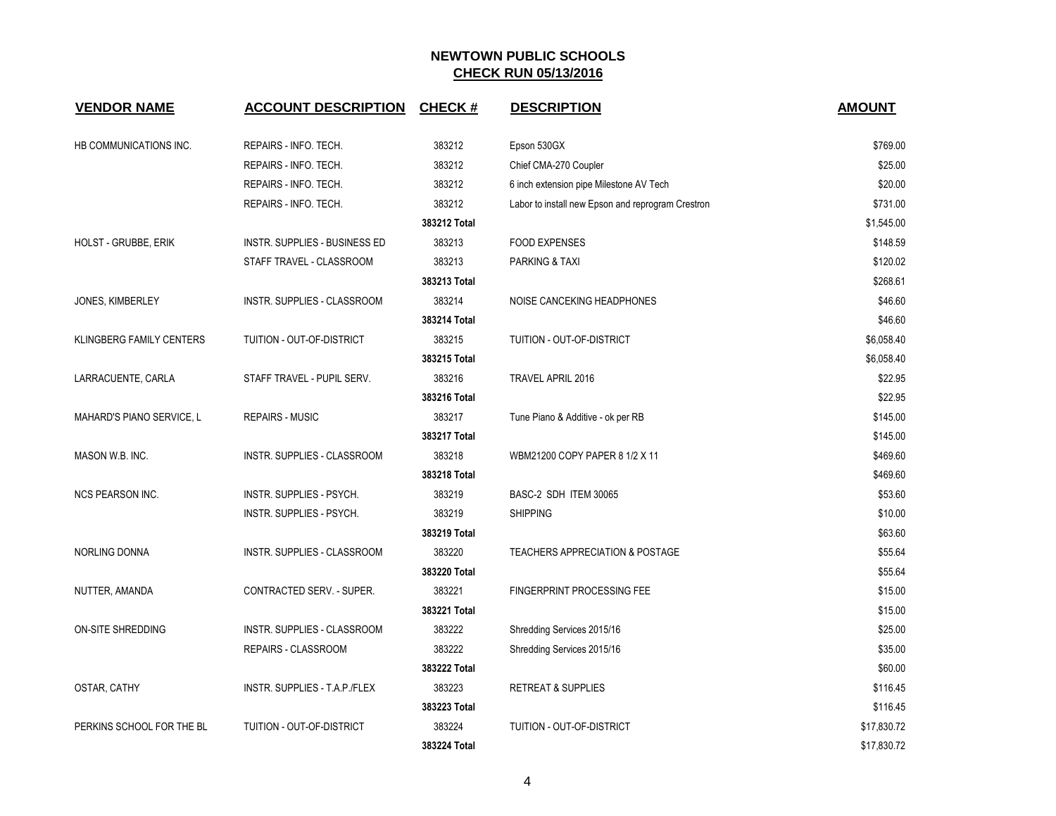| <b>VENDOR NAME</b>              | <b>ACCOUNT DESCRIPTION</b>    | <b>CHECK#</b> | <b>DESCRIPTION</b>                                | <b>AMOUNT</b> |
|---------------------------------|-------------------------------|---------------|---------------------------------------------------|---------------|
| HB COMMUNICATIONS INC.          | REPAIRS - INFO. TECH.         | 383212        | Epson 530GX                                       | \$769.00      |
|                                 | REPAIRS - INFO. TECH.         | 383212        | Chief CMA-270 Coupler                             | \$25.00       |
|                                 | REPAIRS - INFO. TECH.         | 383212        | 6 inch extension pipe Milestone AV Tech           | \$20.00       |
|                                 | REPAIRS - INFO. TECH.         | 383212        | Labor to install new Epson and reprogram Crestron | \$731.00      |
|                                 |                               | 383212 Total  |                                                   | \$1,545.00    |
| <b>HOLST - GRUBBE, ERIK</b>     | INSTR. SUPPLIES - BUSINESS ED | 383213        | <b>FOOD EXPENSES</b>                              | \$148.59      |
|                                 | STAFF TRAVEL - CLASSROOM      | 383213        | PARKING & TAXI                                    | \$120.02      |
|                                 |                               | 383213 Total  |                                                   | \$268.61      |
| JONES, KIMBERLEY                | INSTR. SUPPLIES - CLASSROOM   | 383214        | NOISE CANCEKING HEADPHONES                        | \$46.60       |
|                                 |                               | 383214 Total  |                                                   | \$46.60       |
| <b>KLINGBERG FAMILY CENTERS</b> | TUITION - OUT-OF-DISTRICT     | 383215        | TUITION - OUT-OF-DISTRICT                         | \$6,058.40    |
|                                 |                               | 383215 Total  |                                                   | \$6,058.40    |
| LARRACUENTE, CARLA              | STAFF TRAVEL - PUPIL SERV.    | 383216        | TRAVEL APRIL 2016                                 | \$22.95       |
|                                 |                               | 383216 Total  |                                                   | \$22.95       |
| MAHARD'S PIANO SERVICE, L       | <b>REPAIRS - MUSIC</b>        | 383217        | Tune Piano & Additive - ok per RB                 | \$145.00      |
|                                 |                               | 383217 Total  |                                                   | \$145.00      |
| MASON W.B. INC.                 | INSTR. SUPPLIES - CLASSROOM   | 383218        | WBM21200 COPY PAPER 8 1/2 X 11                    | \$469.60      |
|                                 |                               | 383218 Total  |                                                   | \$469.60      |
| <b>NCS PEARSON INC.</b>         | INSTR. SUPPLIES - PSYCH.      | 383219        | BASC-2 SDH ITEM 30065                             | \$53.60       |
|                                 | INSTR. SUPPLIES - PSYCH.      | 383219        | <b>SHIPPING</b>                                   | \$10.00       |
|                                 |                               | 383219 Total  |                                                   | \$63.60       |
| NORLING DONNA                   | INSTR. SUPPLIES - CLASSROOM   | 383220        | <b>TEACHERS APPRECIATION &amp; POSTAGE</b>        | \$55.64       |
|                                 |                               | 383220 Total  |                                                   | \$55.64       |
| NUTTER, AMANDA                  | CONTRACTED SERV. - SUPER.     | 383221        | FINGERPRINT PROCESSING FEE                        | \$15.00       |
|                                 |                               | 383221 Total  |                                                   | \$15.00       |
| ON-SITE SHREDDING               | INSTR. SUPPLIES - CLASSROOM   | 383222        | Shredding Services 2015/16                        | \$25.00       |
|                                 | REPAIRS - CLASSROOM           | 383222        | Shredding Services 2015/16                        | \$35.00       |
|                                 |                               | 383222 Total  |                                                   | \$60.00       |
| OSTAR, CATHY                    | INSTR. SUPPLIES - T.A.P./FLEX | 383223        | <b>RETREAT &amp; SUPPLIES</b>                     | \$116.45      |
|                                 |                               | 383223 Total  |                                                   | \$116.45      |
| PERKINS SCHOOL FOR THE BL       | TUITION - OUT-OF-DISTRICT     | 383224        | TUITION - OUT-OF-DISTRICT                         | \$17,830.72   |
|                                 |                               | 383224 Total  |                                                   | \$17,830.72   |